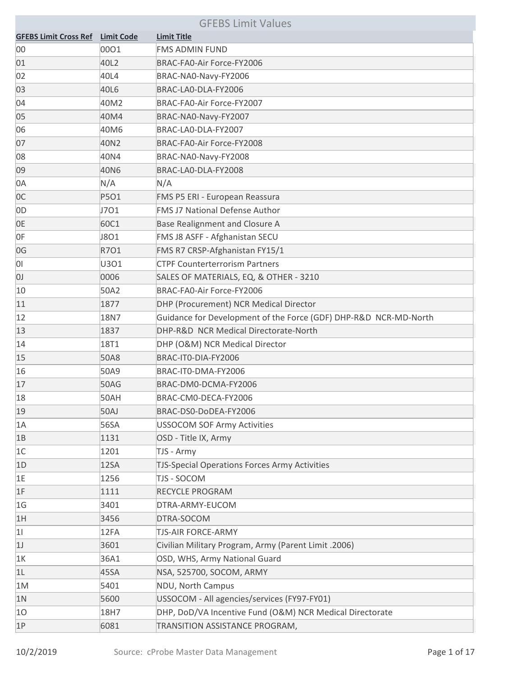| <b>GFEBS Limit Values</b>    |                   |                                                                  |
|------------------------------|-------------------|------------------------------------------------------------------|
| <b>GFEBS Limit Cross Ref</b> | <b>Limit Code</b> | <b>Limit Title</b>                                               |
| 00                           | 0001              | <b>FMS ADMIN FUND</b>                                            |
| 01                           | 40L2              | BRAC-FA0-Air Force-FY2006                                        |
| 02                           | 40L4              | BRAC-NA0-Navy-FY2006                                             |
| 03                           | 40L6              | BRAC-LA0-DLA-FY2006                                              |
| 04                           | 40M2              | BRAC-FA0-Air Force-FY2007                                        |
| 05                           | 40M4              | BRAC-NA0-Navy-FY2007                                             |
| 06                           | 40M6              | BRAC-LA0-DLA-FY2007                                              |
| 07                           | 40N2              | BRAC-FA0-Air Force-FY2008                                        |
| 08                           | 40N4              | BRAC-NA0-Navy-FY2008                                             |
| 09                           | 40N6              | BRAC-LA0-DLA-FY2008                                              |
| 0A                           | N/A               | N/A                                                              |
| 0C                           | P5O1              | FMS P5 ERI - European Reassura                                   |
| 0 <sub>D</sub>               | J701              | <b>FMS J7 National Defense Author</b>                            |
| 0E                           | 60C1              | Base Realignment and Closure A                                   |
| 0F                           | J801              | FMS J8 ASFF - Afghanistan SECU                                   |
| 0G                           | R7O1              | FMS R7 CRSP-Afghanistan FY15/1                                   |
| 0I                           | U301              | <b>CTPF Counterterrorism Partners</b>                            |
| U)                           | 0006              | SALES OF MATERIALS, EQ, & OTHER - 3210                           |
| 10                           | 50A2              | BRAC-FA0-Air Force-FY2006                                        |
| 11                           | 1877              | DHP (Procurement) NCR Medical Director                           |
| 12                           | 18N7              | Guidance for Development of the Force (GDF) DHP-R&D NCR-MD-North |
| 13                           | 1837              | DHP-R&D NCR Medical Directorate-North                            |
| 14                           | 18T1              | DHP (O&M) NCR Medical Director                                   |
| 15                           | 50A8              | BRAC-IT0-DIA-FY2006                                              |
| 16                           | 50A9              | BRAC-IT0-DMA-FY2006                                              |
| 17                           | 50AG              | BRAC-DM0-DCMA-FY2006                                             |
| 18                           | 50AH              | BRAC-CM0-DECA-FY2006                                             |
| 19                           | 50AJ              | BRAC-DS0-DoDEA-FY2006                                            |
| 1A                           | 56SA              | <b>USSOCOM SOF Army Activities</b>                               |
| 1B                           | 1131              | OSD - Title IX, Army                                             |
| 1C                           | 1201              | TJS - Army                                                       |
| 1D                           | 12SA              | <b>TJS-Special Operations Forces Army Activities</b>             |
| 1E                           | 1256              | TJS - SOCOM                                                      |
| 1F                           | 1111              | <b>RECYCLE PROGRAM</b>                                           |
| 1 <sub>G</sub>               | 3401              | DTRA-ARMY-EUCOM                                                  |
| 1H                           | 3456              | DTRA-SOCOM                                                       |
| 11                           | 12FA              | <b>TJS-AIR FORCE-ARMY</b>                                        |
| 1J                           | 3601              | Civilian Military Program, Army (Parent Limit .2006)             |
| 1K                           | 36A1              | OSD, WHS, Army National Guard                                    |
| 1L                           | 45SA              | NSA, 525700, SOCOM, ARMY                                         |
| 1M                           | 5401              | NDU, North Campus                                                |
| 1 <sup>N</sup>               | 5600              | USSOCOM - All agencies/services (FY97-FY01)                      |
| 10                           | 18H7              | DHP, DoD/VA Incentive Fund (O&M) NCR Medical Directorate         |
| 1P                           | 6081              | TRANSITION ASSISTANCE PROGRAM,                                   |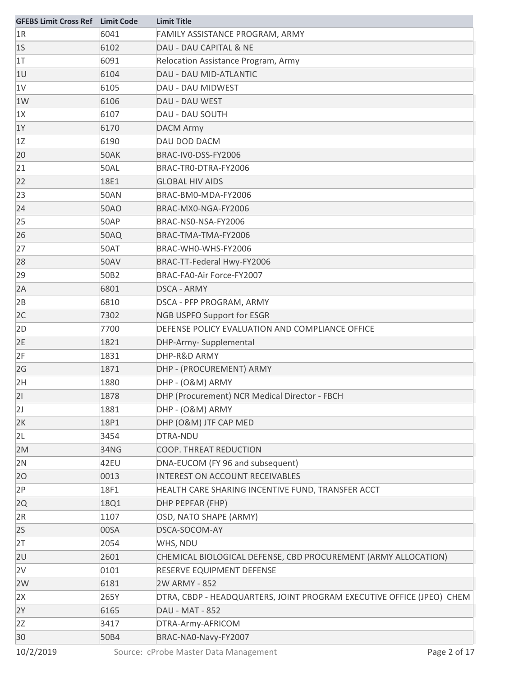| <b>GFEBS Limit Cross Ref</b> Limit Code |             | <b>Limit Title</b>                                                    |
|-----------------------------------------|-------------|-----------------------------------------------------------------------|
| 1R                                      | 6041        | FAMILY ASSISTANCE PROGRAM, ARMY                                       |
| 1 <sub>S</sub>                          | 6102        | DAU - DAU CAPITAL & NE                                                |
| 1 <sub>T</sub>                          | 6091        | Relocation Assistance Program, Army                                   |
| 1U                                      | 6104        | <b>DAU - DAU MID-ATLANTIC</b>                                         |
| 1V                                      | 6105        | DAU - DAU MIDWEST                                                     |
| 1W                                      | 6106        | DAU - DAU WEST                                                        |
| 1X                                      | 6107        | DAU - DAU SOUTH                                                       |
| 1Y                                      | 6170        | <b>DACM Army</b>                                                      |
| 1Z                                      | 6190        | DAU DOD DACM                                                          |
| 20                                      | 50AK        | BRAC-IV0-DSS-FY2006                                                   |
| 21                                      | <b>50AL</b> | BRAC-TRO-DTRA-FY2006                                                  |
| 22                                      | 18E1        | <b>GLOBAL HIV AIDS</b>                                                |
| 23                                      | <b>50AN</b> | BRAC-BM0-MDA-FY2006                                                   |
| 24                                      | 50AO        | BRAC-MX0-NGA-FY2006                                                   |
| 25                                      | 50AP        | BRAC-NS0-NSA-FY2006                                                   |
| 26                                      | 50AQ        | BRAC-TMA-TMA-FY2006                                                   |
| 27                                      | 50AT        | BRAC-WHO-WHS-FY2006                                                   |
| 28                                      | <b>50AV</b> | BRAC-TT-Federal Hwy-FY2006                                            |
| 29                                      | 50B2        | BRAC-FA0-Air Force-FY2007                                             |
| 2A                                      | 6801        | <b>DSCA - ARMY</b>                                                    |
| 2B                                      | 6810        | DSCA - PFP PROGRAM, ARMY                                              |
| 2C                                      | 7302        | <b>NGB USPFO Support for ESGR</b>                                     |
| 2D                                      | 7700        | DEFENSE POLICY EVALUATION AND COMPLIANCE OFFICE                       |
| 2E                                      | 1821        | DHP-Army- Supplemental                                                |
| 2F                                      | 1831        | DHP-R&D ARMY                                                          |
| 2G                                      | 1871        | DHP - (PROCUREMENT) ARMY                                              |
| 2H                                      | 1880        | DHP - (O&M) ARMY                                                      |
| 21                                      | 1878        | DHP (Procurement) NCR Medical Director - FBCH                         |
| 2J                                      | 1881        | DHP - (O&M) ARMY                                                      |
| 2K                                      | 18P1        | DHP (O&M) JTF CAP MED                                                 |
| 2L                                      | 3454        | DTRA-NDU                                                              |
| 2M                                      | 34NG        | COOP. THREAT REDUCTION                                                |
| 2N                                      | 42EU        | DNA-EUCOM (FY 96 and subsequent)                                      |
| 20                                      | 0013        | INTEREST ON ACCOUNT RECEIVABLES                                       |
| 2P                                      | 18F1        | HEALTH CARE SHARING INCENTIVE FUND, TRANSFER ACCT                     |
| 2Q                                      | 18Q1        | DHP PEPFAR (FHP)                                                      |
| 2R                                      | 1107        | OSD, NATO SHAPE (ARMY)                                                |
| 2S                                      | 00SA        | DSCA-SOCOM-AY                                                         |
| 2T                                      | 2054        | WHS, NDU                                                              |
| 2U                                      | 2601        | CHEMICAL BIOLOGICAL DEFENSE, CBD PROCUREMENT (ARMY ALLOCATION)        |
| 2V                                      | 0101        | RESERVE EQUIPMENT DEFENSE                                             |
| 2W                                      | 6181        | 2W ARMY - 852                                                         |
| 2X                                      | 265Y        | DTRA, CBDP - HEADQUARTERS, JOINT PROGRAM EXECUTIVE OFFICE (JPEO) CHEM |
| 2Y                                      | 6165        | <b>DAU - MAT - 852</b>                                                |
| 2Z                                      | 3417        | DTRA-Army-AFRICOM                                                     |
| 30                                      | 50B4        | BRAC-NA0-Navy-FY2007                                                  |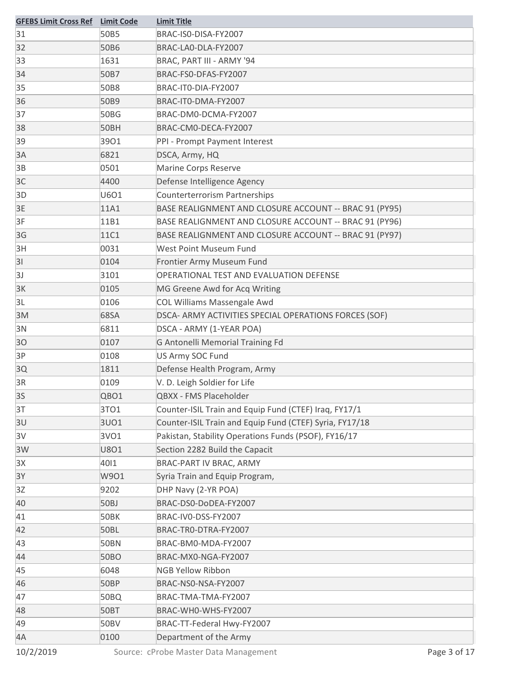| <b>GFEBS Limit Cross Ref</b> Limit Code |             | <b>Limit Title</b>                                      |
|-----------------------------------------|-------------|---------------------------------------------------------|
| 31                                      | 50B5        | BRAC-IS0-DISA-FY2007                                    |
| 32                                      | 50B6        | BRAC-LA0-DLA-FY2007                                     |
| 33                                      | 1631        | BRAC, PART III - ARMY '94                               |
| 34                                      | 50B7        | BRAC-FS0-DFAS-FY2007                                    |
| 35                                      | 50B8        | BRAC-IT0-DIA-FY2007                                     |
| 36                                      | 50B9        | BRAC-IT0-DMA-FY2007                                     |
| 37                                      | 50BG        | BRAC-DM0-DCMA-FY2007                                    |
| 38                                      | 50BH        | BRAC-CM0-DECA-FY2007                                    |
| 39                                      | 3901        | PPI - Prompt Payment Interest                           |
| 3A                                      | 6821        | DSCA, Army, HQ                                          |
| 3B                                      | 0501        | <b>Marine Corps Reserve</b>                             |
| 3C                                      | 4400        | Defense Intelligence Agency                             |
| 3D                                      | <b>U6O1</b> | <b>Counterterrorism Partnerships</b>                    |
| 3E                                      | 11A1        | BASE REALIGNMENT AND CLOSURE ACCOUNT -- BRAC 91 (PY95)  |
| 3F                                      | 11B1        | BASE REALIGNMENT AND CLOSURE ACCOUNT -- BRAC 91 (PY96)  |
| 3G                                      | 11C1        | BASE REALIGNMENT AND CLOSURE ACCOUNT -- BRAC 91 (PY97)  |
| 3H                                      | 0031        | West Point Museum Fund                                  |
| 31                                      | 0104        | Frontier Army Museum Fund                               |
| 3J                                      | 3101        | OPERATIONAL TEST AND EVALUATION DEFENSE                 |
| 3K                                      | 0105        | MG Greene Awd for Acq Writing                           |
| 3L                                      | 0106        | COL Williams Massengale Awd                             |
| 3M                                      | 68SA        | DSCA- ARMY ACTIVITIES SPECIAL OPERATIONS FORCES (SOF)   |
| 3N                                      | 6811        | DSCA - ARMY (1-YEAR POA)                                |
| 30                                      | 0107        | <b>G Antonelli Memorial Training Fd</b>                 |
| 3P                                      | 0108        | US Army SOC Fund                                        |
| 3Q                                      | 1811        | Defense Health Program, Army                            |
| 3R                                      | 0109        | V. D. Leigh Soldier for Life                            |
| 3S                                      | QBO1        | QBXX - FMS Placeholder                                  |
| 3T                                      | 3TO1        | Counter-ISIL Train and Equip Fund (CTEF) Iraq, FY17/1   |
| 3U                                      | 3UO1        | Counter-ISIL Train and Equip Fund (CTEF) Syria, FY17/18 |
| 3V                                      | 3VO1        | Pakistan, Stability Operations Funds (PSOF), FY16/17    |
| 3W                                      | <b>U8O1</b> | Section 2282 Build the Capacit                          |
| 3X                                      | 4011        | BRAC-PART IV BRAC, ARMY                                 |
| 3Y                                      | W901        | Syria Train and Equip Program,                          |
| 3Z                                      | 9202        | DHP Navy (2-YR POA)                                     |
| 40                                      | 50BJ        | BRAC-DS0-DoDEA-FY2007                                   |
| 41                                      | 50BK        | BRAC-IV0-DSS-FY2007                                     |
| 42                                      | <b>50BL</b> | BRAC-TRO-DTRA-FY2007                                    |
| 43                                      | <b>50BN</b> | BRAC-BM0-MDA-FY2007                                     |
| 44                                      | <b>50BO</b> | BRAC-MX0-NGA-FY2007                                     |
| 45                                      | 6048        | <b>NGB Yellow Ribbon</b>                                |
| 46                                      | 50BP        | BRAC-NS0-NSA-FY2007                                     |
| 47                                      | 50BQ        | BRAC-TMA-TMA-FY2007                                     |
| 48                                      | 50BT        | BRAC-WHO-WHS-FY2007                                     |
| 49                                      | <b>50BV</b> | BRAC-TT-Federal Hwy-FY2007                              |
| 4A                                      | 0100        | Department of the Army                                  |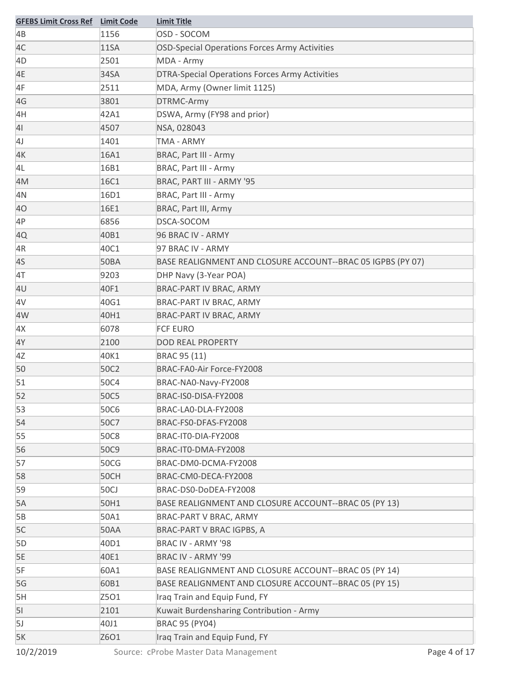| <b>GFEBS Limit Cross Ref</b> | <b>Limit Code</b> | <b>Limit Title</b>                                          |
|------------------------------|-------------------|-------------------------------------------------------------|
| 4B                           | 1156              | OSD - SOCOM                                                 |
| 4C                           | <b>11SA</b>       | OSD-Special Operations Forces Army Activities               |
| 4D                           | 2501              | MDA - Army                                                  |
| 4E                           | 34SA              | <b>DTRA-Special Operations Forces Army Activities</b>       |
| 4F                           | 2511              | MDA, Army (Owner limit 1125)                                |
| 4G                           | 3801              | DTRMC-Army                                                  |
| 4H                           | 42A1              | DSWA, Army (FY98 and prior)                                 |
| 4 <sub>l</sub>               | 4507              | NSA, 028043                                                 |
| 4J                           | 1401              | <b>TMA - ARMY</b>                                           |
| 4K                           | 16A1              | <b>BRAC, Part III - Army</b>                                |
| 4L                           | 16B1              | <b>BRAC, Part III - Army</b>                                |
| 4M                           | 16C1              | BRAC, PART III - ARMY '95                                   |
| 4N                           | 16D1              | BRAC, Part III - Army                                       |
| 40                           | 16E1              | BRAC, Part III, Army                                        |
| 4P                           | 6856              | DSCA-SOCOM                                                  |
| 4Q                           | 40B1              | 96 BRAC IV - ARMY                                           |
| 4R                           | 40C1              | 97 BRAC IV - ARMY                                           |
| 4S                           | 50BA              | BASE REALIGNMENT AND CLOSURE ACCOUNT--BRAC 05 IGPBS (PY 07) |
| 4T                           | 9203              | DHP Navy (3-Year POA)                                       |
| 4U                           | 40F1              | BRAC-PART IV BRAC, ARMY                                     |
| 4V                           | 40G1              | BRAC-PART IV BRAC, ARMY                                     |
| 4W                           | 40H1              | BRAC-PART IV BRAC, ARMY                                     |
| 4X                           | 6078              | <b>FCF EURO</b>                                             |
| 4Y                           | 2100              | <b>DOD REAL PROPERTY</b>                                    |
| 4Z                           | 40K1              | BRAC 95 (11)                                                |
| 50                           | 50C2              | BRAC-FA0-Air Force-FY2008                                   |
| 51                           | 50C4              | BRAC-NA0-Navy-FY2008                                        |
| 52                           | <b>50C5</b>       | BRAC-ISO-DISA-FY2008                                        |
| 53                           | 50C6              | BRAC-LA0-DLA-FY2008                                         |
| 54                           | 50C7              | BRAC-FS0-DFAS-FY2008                                        |
| 55                           | 50C8              | BRAC-IT0-DIA-FY2008                                         |
| 56                           | 50C9              | BRAC-IT0-DMA-FY2008                                         |
| 57                           | 50CG              | BRAC-DM0-DCMA-FY2008                                        |
| 58                           | 50CH              | BRAC-CM0-DECA-FY2008                                        |
| 59                           | 50CJ              | BRAC-DS0-DoDEA-FY2008                                       |
| 5A                           | 50H1              | BASE REALIGNMENT AND CLOSURE ACCOUNT--BRAC 05 (PY 13)       |
| 5B                           | 50A1              | BRAC-PART V BRAC, ARMY                                      |
| 5C                           | <b>50AA</b>       | BRAC-PART V BRAC IGPBS, A                                   |
| 5D                           | 40D1              | BRAC IV - ARMY '98                                          |
| 5E                           | 40E1              | BRAC IV - ARMY '99                                          |
| 5F                           | 60A1              | BASE REALIGNMENT AND CLOSURE ACCOUNT--BRAC 05 (PY 14)       |
| 5G                           | 60B1              | BASE REALIGNMENT AND CLOSURE ACCOUNT--BRAC 05 (PY 15)       |
| 5H                           | Z5O1              | Iraq Train and Equip Fund, FY                               |
| 51                           | 2101              | Kuwait Burdensharing Contribution - Army                    |
| 5J                           | 40J1              | <b>BRAC 95 (PY04)</b>                                       |
| 5K                           | Z6O1              | Iraq Train and Equip Fund, FY                               |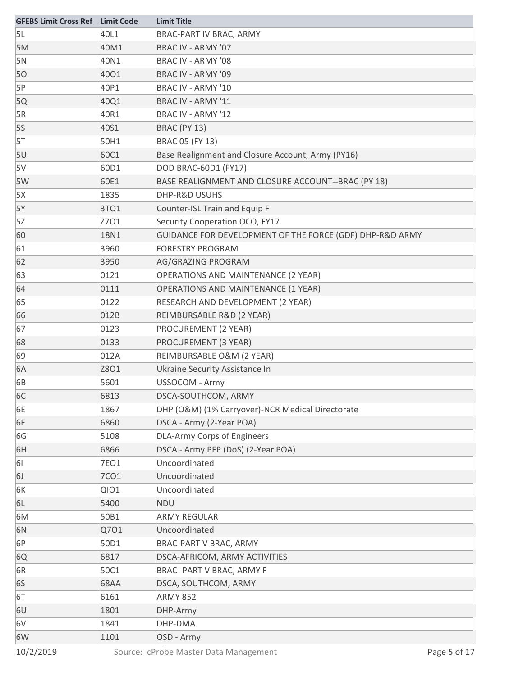| <b>GFEBS Limit Cross Ref</b> Limit Code |             | <b>Limit Title</b>                                       |
|-----------------------------------------|-------------|----------------------------------------------------------|
| 5L                                      | 40L1        | BRAC-PART IV BRAC, ARMY                                  |
| 5M                                      | 40M1        | BRAC IV - ARMY '07                                       |
| 5N                                      | 40N1        | BRAC IV - ARMY '08                                       |
| 50                                      | 4001        | BRAC IV - ARMY '09                                       |
| 5P                                      | 40P1        | BRAC IV - ARMY '10                                       |
| 5Q                                      | 40Q1        | BRAC IV - ARMY '11                                       |
| 5R                                      | 40R1        | <b>BRAC IV - ARMY '12</b>                                |
| 5S                                      | 40S1        | <b>BRAC (PY 13)</b>                                      |
| 5T                                      | 50H1        | BRAC 05 (FY 13)                                          |
| 5U                                      | 60C1        | Base Realignment and Closure Account, Army (PY16)        |
| 5V                                      | 60D1        | DOD BRAC-60D1 (FY17)                                     |
| 5W                                      | 60E1        | BASE REALIGNMENT AND CLOSURE ACCOUNT--BRAC (PY 18)       |
| 5X                                      | 1835        | DHP-R&D USUHS                                            |
| 5Y                                      | 3TO1        | Counter-ISL Train and Equip F                            |
| 5Z                                      | Z701        | Security Cooperation OCO, FY17                           |
| 60                                      | 18N1        | GUIDANCE FOR DEVELOPMENT OF THE FORCE (GDF) DHP-R&D ARMY |
| 61                                      | 3960        | <b>FORESTRY PROGRAM</b>                                  |
| 62                                      | 3950        | AG/GRAZING PROGRAM                                       |
| 63                                      | 0121        | <b>OPERATIONS AND MAINTENANCE (2 YEAR)</b>               |
| 64                                      | 0111        | <b>OPERATIONS AND MAINTENANCE (1 YEAR)</b>               |
| 65                                      | 0122        | RESEARCH AND DEVELOPMENT (2 YEAR)                        |
| 66                                      | 012B        | REIMBURSABLE R&D (2 YEAR)                                |
| 67                                      | 0123        | PROCUREMENT (2 YEAR)                                     |
| 68                                      | 0133        | PROCUREMENT (3 YEAR)                                     |
| 69                                      | 012A        | REIMBURSABLE O&M (2 YEAR)                                |
| 6A                                      | Z8O1        | Ukraine Security Assistance In                           |
| 6B                                      | 5601        | USSOCOM - Army                                           |
| 6C                                      | 6813        | DSCA-SOUTHCOM, ARMY                                      |
| 6E                                      | 1867        | DHP (O&M) (1% Carryover)-NCR Medical Directorate         |
| 6F                                      | 6860        | DSCA - Army (2-Year POA)                                 |
| 6G                                      | 5108        | DLA-Army Corps of Engineers                              |
| 6H                                      | 6866        | DSCA - Army PFP (DoS) (2-Year POA)                       |
| 61                                      | 7EO1        | Uncoordinated                                            |
| 6J                                      | 7CO1        | Uncoordinated                                            |
| 6K                                      | <b>QIO1</b> | Uncoordinated                                            |
| 6L                                      | 5400        | <b>NDU</b>                                               |
| 6M                                      | 50B1        | <b>ARMY REGULAR</b>                                      |
| 6N                                      | Q701        | Uncoordinated                                            |
| 6P                                      | 50D1        | BRAC-PART V BRAC, ARMY                                   |
| 6Q                                      | 6817        | DSCA-AFRICOM, ARMY ACTIVITIES                            |
| 6R                                      | 50C1        | BRAC- PART V BRAC, ARMY F                                |
| 6S                                      | 68AA        | DSCA, SOUTHCOM, ARMY                                     |
| 6T                                      | 6161        | <b>ARMY 852</b>                                          |
| 6U                                      | 1801        | DHP-Army                                                 |
| 6V                                      | 1841        | DHP-DMA                                                  |
| 6W                                      | 1101        | OSD - Army                                               |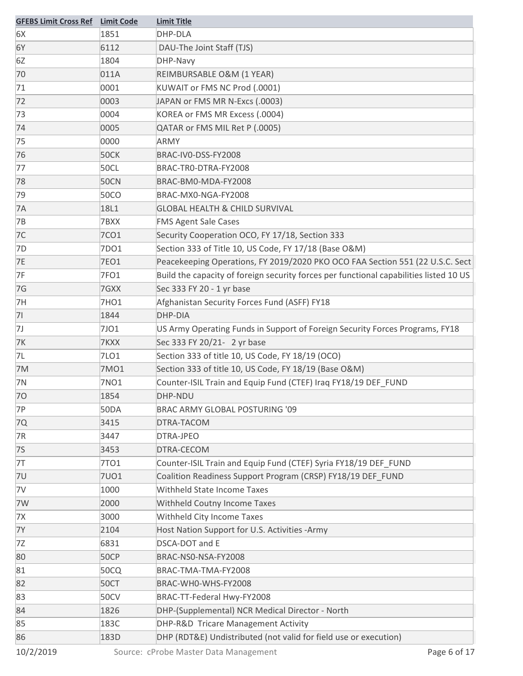| <b>GFEBS Limit Cross Ref</b> Limit Code |             | <b>Limit Title</b>                                                                     |
|-----------------------------------------|-------------|----------------------------------------------------------------------------------------|
| 6X                                      | 1851        | DHP-DLA                                                                                |
| 6Y                                      | 6112        | DAU-The Joint Staff (TJS)                                                              |
| 6Z                                      | 1804        | DHP-Navy                                                                               |
| 70                                      | 011A        | REIMBURSABLE O&M (1 YEAR)                                                              |
| 71                                      | 0001        | KUWAIT or FMS NC Prod (.0001)                                                          |
| 72                                      | 0003        | JAPAN or FMS MR N-Excs (.0003)                                                         |
| 73                                      | 0004        | KOREA or FMS MR Excess (.0004)                                                         |
| 74                                      | 0005        | QATAR or FMS MIL Ret P (.0005)                                                         |
| 75                                      | 0000        | ARMY                                                                                   |
| 76                                      | 50CK        | BRAC-IV0-DSS-FY2008                                                                    |
| 77                                      | <b>50CL</b> | BRAC-TRO-DTRA-FY2008                                                                   |
| 78                                      | <b>50CN</b> | BRAC-BM0-MDA-FY2008                                                                    |
| 79                                      | <b>50CO</b> | BRAC-MX0-NGA-FY2008                                                                    |
| 7A                                      | 18L1        | <b>GLOBAL HEALTH &amp; CHILD SURVIVAL</b>                                              |
| <b>7B</b>                               | 7BXX        | <b>FMS Agent Sale Cases</b>                                                            |
| 7C                                      | <b>7CO1</b> | Security Cooperation OCO, FY 17/18, Section 333                                        |
| 7D                                      | 7DO1        | Section 333 of Title 10, US Code, FY 17/18 (Base O&M)                                  |
| <b>7E</b>                               | <b>7EO1</b> | Peacekeeping Operations, FY 2019/2020 PKO OCO FAA Section 551 (22 U.S.C. Sect          |
| 7F                                      | 7FO1        | Build the capacity of foreign security forces per functional capabilities listed 10 US |
| 7G                                      | 7GXX        | Sec 333 FY 20 - 1 yr base                                                              |
| 7H                                      | 7HO1        | Afghanistan Security Forces Fund (ASFF) FY18                                           |
| 71                                      | 1844        | DHP-DIA                                                                                |
| 7J                                      | 7JO1        | US Army Operating Funds in Support of Foreign Security Forces Programs, FY18           |
| <b>7K</b>                               | 7KXX        | Sec 333 FY 20/21- 2 yr base                                                            |
| 7L                                      | 7LO1        | Section 333 of title 10, US Code, FY 18/19 (OCO)                                       |
| 7M                                      | 7M01        | Section 333 of title 10, US Code, FY 18/19 (Base O&M)                                  |
| 7N                                      | 7NO1        | Counter-ISIL Train and Equip Fund (CTEF) Iraq FY18/19 DEF_FUND                         |
| 70                                      | 1854        | DHP-NDU                                                                                |
| 7P                                      | <b>50DA</b> | BRAC ARMY GLOBAL POSTURING '09                                                         |
| 7Q                                      | 3415        | DTRA-TACOM                                                                             |
| 7R                                      | 3447        | DTRA-JPEO                                                                              |
| <b>7S</b>                               | 3453        | DTRA-CECOM                                                                             |
| 7T                                      | 7TO1        | Counter-ISIL Train and Equip Fund (CTEF) Syria FY18/19 DEF FUND                        |
| 7U                                      | <b>7U01</b> | Coalition Readiness Support Program (CRSP) FY18/19 DEF_FUND                            |
| 7V                                      | 1000        | Withheld State Income Taxes                                                            |
| 7W                                      | 2000        | Withheld Coutny Income Taxes                                                           |
| 7X                                      | 3000        | Withheld City Income Taxes                                                             |
| <b>7Y</b>                               | 2104        | Host Nation Support for U.S. Activities - Army                                         |
| 7Z                                      | 6831        | DSCA-DOT and E                                                                         |
| 80                                      | 50CP        | BRAC-NS0-NSA-FY2008                                                                    |
| 81                                      | 50CQ        | BRAC-TMA-TMA-FY2008                                                                    |
| 82                                      | 50CT        | BRAC-WHO-WHS-FY2008                                                                    |
| 83                                      | <b>50CV</b> | BRAC-TT-Federal Hwy-FY2008                                                             |
| 84                                      | 1826        | DHP-(Supplemental) NCR Medical Director - North                                        |
| 85                                      | 183C        | DHP-R&D Tricare Management Activity                                                    |
| 86                                      | 183D        | DHP (RDT&E) Undistributed (not valid for field use or execution)                       |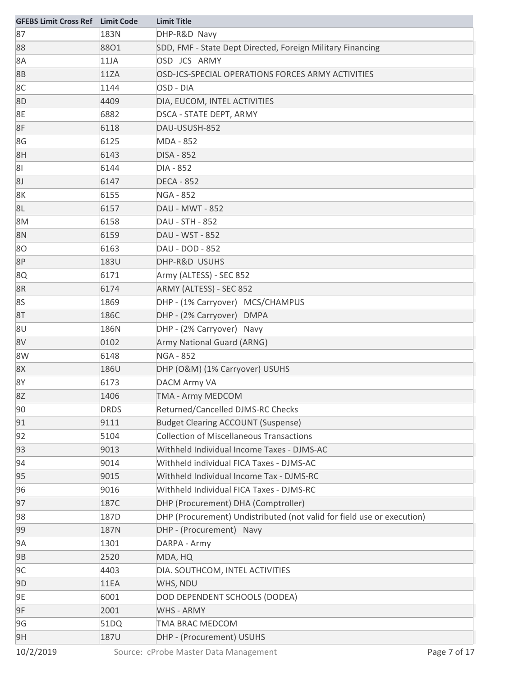| <b>GFEBS Limit Cross Ref</b> Limit Code |             | <b>Limit Title</b>                                                     |
|-----------------------------------------|-------------|------------------------------------------------------------------------|
| 87                                      | 183N        | DHP-R&D Navy                                                           |
| 88                                      | 8801        | SDD, FMF - State Dept Directed, Foreign Military Financing             |
| 8A                                      | 11JA        | OSD JCS ARMY                                                           |
| 8B                                      | 11ZA        | OSD-JCS-SPECIAL OPERATIONS FORCES ARMY ACTIVITIES                      |
| 8C                                      | 1144        | OSD - DIA                                                              |
| 8D                                      | 4409        | DIA, EUCOM, INTEL ACTIVITIES                                           |
| 8E                                      | 6882        | <b>DSCA - STATE DEPT, ARMY</b>                                         |
| 8F                                      | 6118        | DAU-USUSH-852                                                          |
| 8G                                      | 6125        | MDA - 852                                                              |
| 8H                                      | 6143        | <b>DISA - 852</b>                                                      |
| 81                                      | 6144        | DIA - 852                                                              |
| 8J                                      | 6147        | <b>DECA - 852</b>                                                      |
| 8K                                      | 6155        | <b>NGA - 852</b>                                                       |
| 8L                                      | 6157        | DAU - MWT - 852                                                        |
| 8M                                      | 6158        | DAU - STH - 852                                                        |
| 8N                                      | 6159        | DAU - WST - 852                                                        |
| 80                                      | 6163        | DAU - DOD - 852                                                        |
| 8P                                      | 183U        | DHP-R&D USUHS                                                          |
| 8Q                                      | 6171        | Army (ALTESS) - SEC 852                                                |
| 8R                                      | 6174        | ARMY (ALTESS) - SEC 852                                                |
| 8S                                      | 1869        | DHP - (1% Carryover) MCS/CHAMPUS                                       |
| 8T                                      | 186C        | DHP - (2% Carryover) DMPA                                              |
| 8U                                      | 186N        | DHP - (2% Carryover) Navy                                              |
| 8V                                      | 0102        | Army National Guard (ARNG)                                             |
| 8W                                      | 6148        | <b>NGA - 852</b>                                                       |
| 8X                                      | 186U        | DHP (O&M) (1% Carryover) USUHS                                         |
| 8Y                                      | 6173        | <b>DACM Army VA</b>                                                    |
| 8Z                                      | 1406        | <b>TMA - Army MEDCOM</b>                                               |
| 90                                      | <b>DRDS</b> | Returned/Cancelled DJMS-RC Checks                                      |
| 91                                      | 9111        | <b>Budget Clearing ACCOUNT (Suspense)</b>                              |
| 92                                      | 5104        | <b>Collection of Miscellaneous Transactions</b>                        |
| 93                                      | 9013        | Withheld Individual Income Taxes - DJMS-AC                             |
| 94                                      | 9014        | Withheld individual FICA Taxes - DJMS-AC                               |
| 95                                      | 9015        | Withheld Individual Income Tax - DJMS-RC                               |
| 96                                      | 9016        | Withheld Individual FICA Taxes - DJMS-RC                               |
| 97                                      | 187C        | DHP (Procurement) DHA (Comptroller)                                    |
| 98                                      | 187D        | DHP (Procurement) Undistributed (not valid for field use or execution) |
| 99                                      | 187N        | DHP - (Procurement) Navy                                               |
| 9A                                      | 1301        | DARPA - Army                                                           |
| 9B                                      | 2520        | MDA, HQ                                                                |
| 9C                                      | 4403        | DIA. SOUTHCOM, INTEL ACTIVITIES                                        |
| 9 <sub>D</sub>                          | 11EA        | WHS, NDU                                                               |
| 9E                                      | 6001        | DOD DEPENDENT SCHOOLS (DODEA)                                          |
| 9F                                      | 2001        | <b>WHS - ARMY</b>                                                      |
| 9G                                      | 51DQ        | TMA BRAC MEDCOM                                                        |
| 9H                                      | <b>187U</b> | DHP - (Procurement) USUHS                                              |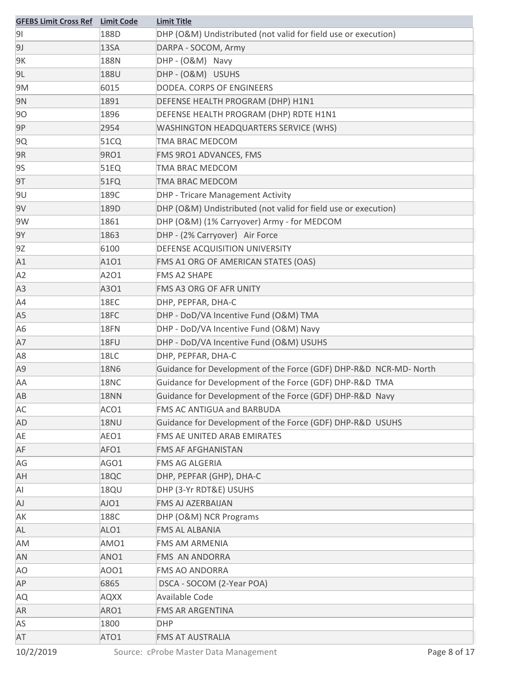| <b>GFEBS Limit Cross Ref</b> | <b>Limit Code</b> | <b>Limit Title</b>                                                |
|------------------------------|-------------------|-------------------------------------------------------------------|
| 91                           | 188D              | DHP (O&M) Undistributed (not valid for field use or execution)    |
| 9J                           | 13SA              | DARPA - SOCOM, Army                                               |
| 9K                           | 188N              | DHP - (O&M) Navy                                                  |
| 9L                           | 188U              | DHP-(O&M) USUHS                                                   |
| 9M                           | 6015              | DODEA. CORPS OF ENGINEERS                                         |
| 9N                           | 1891              | DEFENSE HEALTH PROGRAM (DHP) H1N1                                 |
| 90                           | 1896              | DEFENSE HEALTH PROGRAM (DHP) RDTE H1N1                            |
| 9P                           | 2954              | WASHINGTON HEADQUARTERS SERVICE (WHS)                             |
| 9Q                           | 51CQ              | <b>TMA BRAC MEDCOM</b>                                            |
| 9R                           | 9RO1              | <b>FMS 9RO1 ADVANCES, FMS</b>                                     |
| 9S                           | 51EQ              | TMA BRAC MEDCOM                                                   |
| 9T                           | 51FQ              | TMA BRAC MEDCOM                                                   |
| 9U                           | 189C              | <b>DHP - Tricare Management Activity</b>                          |
| 9V                           | 189D              | DHP (O&M) Undistributed (not valid for field use or execution)    |
| 9W                           | 1861              | DHP (O&M) (1% Carryover) Army - for MEDCOM                        |
| 9Y                           | 1863              | DHP - (2% Carryover) Air Force                                    |
| 9Z                           | 6100              | DEFENSE ACQUISITION UNIVERSITY                                    |
| A1                           | A101              | FMS A1 ORG OF AMERICAN STATES (OAS)                               |
| A <sub>2</sub>               | A201              | <b>FMS A2 SHAPE</b>                                               |
| A3                           | A301              | <b>FMS A3 ORG OF AFR UNITY</b>                                    |
| A4                           | 18EC              | DHP, PEPFAR, DHA-C                                                |
| A5                           | 18FC              | DHP - DoD/VA Incentive Fund (O&M) TMA                             |
| A6                           | 18FN              | DHP - DoD/VA Incentive Fund (O&M) Navy                            |
| A7                           | 18FU              | DHP - DoD/VA Incentive Fund (O&M) USUHS                           |
| A8                           | 18LC              | DHP, PEPFAR, DHA-C                                                |
| A9                           | <b>18N6</b>       | Guidance for Development of the Force (GDF) DHP-R&D NCR-MD- North |
| AA                           | 18NC              | Guidance for Development of the Force (GDF) DHP-R&D TMA           |
| AB                           | <b>18NN</b>       | Guidance for Development of the Force (GDF) DHP-R&D Navy          |
| AC                           | ACO1              | FMS AC ANTIGUA and BARBUDA                                        |
| AD                           | 18NU              | Guidance for Development of the Force (GDF) DHP-R&D USUHS         |
| AE                           | AEO1              | FMS AE UNITED ARAB EMIRATES                                       |
| AF                           | AFO1              | <b>FMS AF AFGHANISTAN</b>                                         |
| AG                           | AGO1              | FMS AG ALGERIA                                                    |
| AH                           | 18QC              | DHP, PEPFAR (GHP), DHA-C                                          |
| Al                           | 18QU              | DHP (3-Yr RDT&E) USUHS                                            |
| AJ                           | AJO1              | <b>FMS AJ AZERBAIJAN</b>                                          |
| АK                           | 188C              | DHP (O&M) NCR Programs                                            |
| AL                           | ALO1              | <b>FMS AL ALBANIA</b>                                             |
| AM                           | AMO1              | <b>FMS AM ARMENIA</b>                                             |
| AN                           | ANO1              | <b>FMS AN ANDORRA</b>                                             |
| AO                           | AO01              | <b>FMS AO ANDORRA</b>                                             |
| AP                           | 6865              | DSCA - SOCOM (2-Year POA)                                         |
| AQ                           | <b>AQXX</b>       | Available Code                                                    |
| AR                           | ARO1              | <b>FMS AR ARGENTINA</b>                                           |
| AS                           | 1800              | <b>DHP</b>                                                        |
| AT                           | ATO1              | <b>FMS AT AUSTRALIA</b>                                           |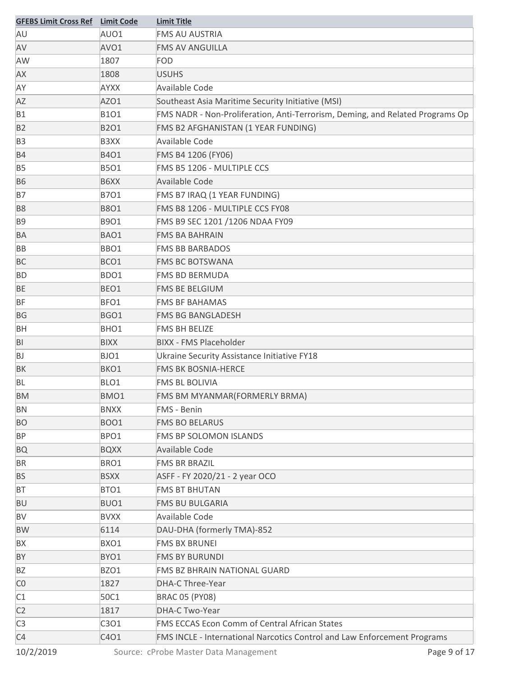| <b>GFEBS Limit Cross Ref Limit Code</b> |                   | <b>Limit Title</b>                                                            |
|-----------------------------------------|-------------------|-------------------------------------------------------------------------------|
| AU                                      | AUO1              | <b>FMS AU AUSTRIA</b>                                                         |
| AV                                      | AVO1              | <b>FMS AV ANGUILLA</b>                                                        |
| AW                                      | 1807              | <b>FOD</b>                                                                    |
| AX                                      | 1808              | <b>USUHS</b>                                                                  |
| AY                                      | <b>AYXX</b>       | Available Code                                                                |
| AZ                                      | AZO1              | Southeast Asia Maritime Security Initiative (MSI)                             |
| <b>B1</b>                               | B101              | FMS NADR - Non-Proliferation, Anti-Terrorism, Deming, and Related Programs Op |
| <b>B2</b>                               | <b>B2O1</b>       | FMS B2 AFGHANISTAN (1 YEAR FUNDING)                                           |
| B <sub>3</sub>                          | B <sub>3</sub> XX | <b>Available Code</b>                                                         |
| <b>B4</b>                               | <b>B4O1</b>       | FMS B4 1206 (FY06)                                                            |
| <b>B5</b>                               | <b>B5O1</b>       | FMS B5 1206 - MULTIPLE CCS                                                    |
| <b>B6</b>                               | B6XX              | <b>Available Code</b>                                                         |
| <b>B7</b>                               | B701              | FMS B7 IRAQ (1 YEAR FUNDING)                                                  |
| <b>B8</b>                               | <b>B8O1</b>       | FMS B8 1206 - MULTIPLE CCS FY08                                               |
| <b>B9</b>                               | B901              | FMS B9 SEC 1201 /1206 NDAA FY09                                               |
| BA                                      | BAO1              | <b>FMS BA BAHRAIN</b>                                                         |
| BB                                      | BBO1              | <b>FMS BB BARBADOS</b>                                                        |
| <b>BC</b>                               | BCO1              | <b>FMS BC BOTSWANA</b>                                                        |
| <b>BD</b>                               | BDO1              | <b>FMS BD BERMUDA</b>                                                         |
| BE                                      | BEO1              | <b>FMS BE BELGIUM</b>                                                         |
| <b>BF</b>                               | BFO1              | <b>FMS BF BAHAMAS</b>                                                         |
| <b>BG</b>                               | BGO1              | <b>FMS BG BANGLADESH</b>                                                      |
| <b>BH</b>                               | BHO1              | <b>FMS BH BELIZE</b>                                                          |
| BI                                      | <b>BIXX</b>       | <b>BIXX - FMS Placeholder</b>                                                 |
| BJ                                      | BJO1              | Ukraine Security Assistance Initiative FY18                                   |
| BK                                      | BKO1              | <b>FMS BK BOSNIA-HERCE</b>                                                    |
| <b>BL</b>                               | BLO1              | <b>FMS BL BOLIVIA</b>                                                         |
| BM                                      | BMO1              | FMS BM MYANMAR(FORMERLY BRMA)                                                 |
| BN                                      | <b>BNXX</b>       | <b>FMS - Benin</b>                                                            |
| <b>BO</b>                               | <b>BOO1</b>       | <b>FMS BO BELARUS</b>                                                         |
| <b>BP</b>                               | BPO1              | FMS BP SOLOMON ISLANDS                                                        |
| <b>BQ</b>                               | <b>BQXX</b>       | Available Code                                                                |
| <b>BR</b>                               | BRO1              | <b>FMS BR BRAZIL</b>                                                          |
| <b>BS</b>                               | <b>BSXX</b>       | ASFF - FY 2020/21 - 2 year OCO                                                |
| <b>BT</b>                               | BTO1              | <b>FMS BT BHUTAN</b>                                                          |
| <b>BU</b>                               | BUO1              | <b>FMS BU BULGARIA</b>                                                        |
| BV                                      | <b>BVXX</b>       | Available Code                                                                |
| <b>BW</b>                               | 6114              | DAU-DHA (formerly TMA)-852                                                    |
| BX                                      | BXO1              | <b>FMS BX BRUNEI</b>                                                          |
| BY                                      | BYO1              | <b>FMS BY BURUNDI</b>                                                         |
| ΒZ                                      | BZO1              | FMS BZ BHRAIN NATIONAL GUARD                                                  |
| C <sub>0</sub>                          | 1827              | DHA-C Three-Year                                                              |
| C1                                      | 50C1              | <b>BRAC 05 (PY08)</b>                                                         |
| C <sub>2</sub>                          | 1817              | DHA-C Two-Year                                                                |
| C <sub>3</sub>                          | C3O1              | <b>FMS ECCAS Econ Comm of Central African States</b>                          |
| C <sub>4</sub>                          | C4O1              | FMS INCLE - International Narcotics Control and Law Enforcement Programs      |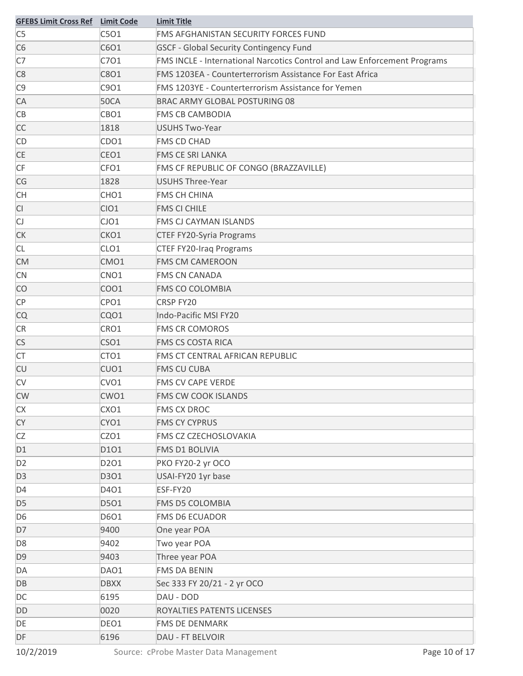| <b>GFEBS Limit Cross Ref</b> Limit Code |                  | <b>Limit Title</b>                                                       |
|-----------------------------------------|------------------|--------------------------------------------------------------------------|
| C <sub>5</sub>                          | C5O1             | FMS AFGHANISTAN SECURITY FORCES FUND                                     |
| C <sub>6</sub>                          | C6O1             | <b>GSCF - Global Security Contingency Fund</b>                           |
| C7                                      | C701             | FMS INCLE - International Narcotics Control and Law Enforcement Programs |
| C <sub>8</sub>                          | C8O1             | FMS 1203EA - Counterterrorism Assistance For East Africa                 |
| C <sub>9</sub>                          | C901             | FMS 1203YE - Counterterrorism Assistance for Yemen                       |
| CA                                      | <b>50CA</b>      | BRAC ARMY GLOBAL POSTURING 08                                            |
| CB                                      | CBO1             | <b>FMS CB CAMBODIA</b>                                                   |
| <b>CC</b>                               | 1818             | <b>USUHS Two-Year</b>                                                    |
| <b>CD</b>                               | CDO1             | <b>FMS CD CHAD</b>                                                       |
| <b>CE</b>                               | CEO1             | FMS CE SRI LANKA                                                         |
| CF                                      | CFO1             | FMS CF REPUBLIC OF CONGO (BRAZZAVILLE)                                   |
| CG                                      | 1828             | <b>USUHS Three-Year</b>                                                  |
| <b>CH</b>                               | CHO <sub>1</sub> | <b>FMS CH CHINA</b>                                                      |
| CI                                      | CIO1             | <b>FMS CI CHILE</b>                                                      |
| $\mathsf{C}\mathsf{J}$                  | CJO1             | <b>FMS CJ CAYMAN ISLANDS</b>                                             |
| <b>CK</b>                               | CKO1             | <b>CTEF FY20-Syria Programs</b>                                          |
| <b>CL</b>                               | CLO <sub>1</sub> | <b>CTEF FY20-Iraq Programs</b>                                           |
| <b>CM</b>                               | CMO1             | <b>FMS CM CAMEROON</b>                                                   |
| <b>CN</b>                               | CNO <sub>1</sub> | <b>FMS CN CANADA</b>                                                     |
| CO                                      | CO <sub>O1</sub> | <b>FMS CO COLOMBIA</b>                                                   |
| CP                                      | CPO1             | CRSP FY20                                                                |
| <b>CQ</b>                               | CQO1             | Indo-Pacific MSI FY20                                                    |
| <b>CR</b>                               | CRO1             | <b>FMS CR COMOROS</b>                                                    |
| CS                                      | CSO1             | <b>FMS CS COSTA RICA</b>                                                 |
| <b>CT</b>                               | CTO <sub>1</sub> | FMS CT CENTRAL AFRICAN REPUBLIC                                          |
| <b>CU</b>                               | CUO1             | <b>FMS CU CUBA</b>                                                       |
| <b>CV</b>                               | CVO1             | <b>FMS CV CAPE VERDE</b>                                                 |
| <b>CW</b>                               | CWO1             | FMS CW COOK ISLANDS                                                      |
| <b>CX</b>                               | CXO1             | <b>FMS CX DROC</b>                                                       |
| CY                                      | CYO1             | <b>FMS CY CYPRUS</b>                                                     |
| CZ                                      | CZO1             | FMS CZ CZECHOSLOVAKIA                                                    |
| D <sub>1</sub>                          | D101             | FMS D1 BOLIVIA                                                           |
| D <sub>2</sub>                          | D201             | PKO FY20-2 yr OCO                                                        |
| D <sub>3</sub>                          | D301             | USAI-FY20 1yr base                                                       |
| D <sub>4</sub>                          | D401             | ESF-FY20                                                                 |
| D <sub>5</sub>                          | D501             | FMS D5 COLOMBIA                                                          |
| D <sub>6</sub>                          | D601             | <b>FMS D6 ECUADOR</b>                                                    |
| D7                                      | 9400             | One year POA                                                             |
| D <sub>8</sub>                          | 9402             | Two year POA                                                             |
| D <sub>9</sub>                          | 9403             | Three year POA                                                           |
| DA                                      | DAO1             | <b>FMS DA BENIN</b>                                                      |
| DB                                      | <b>DBXX</b>      | Sec 333 FY 20/21 - 2 yr OCO                                              |
| DC                                      | 6195             | DAU - DOD                                                                |
| DD                                      | 0020             | ROYALTIES PATENTS LICENSES                                               |
| DE                                      | DEO1             | FMS DE DENMARK                                                           |
| DF                                      | 6196             | DAU - FT BELVOIR                                                         |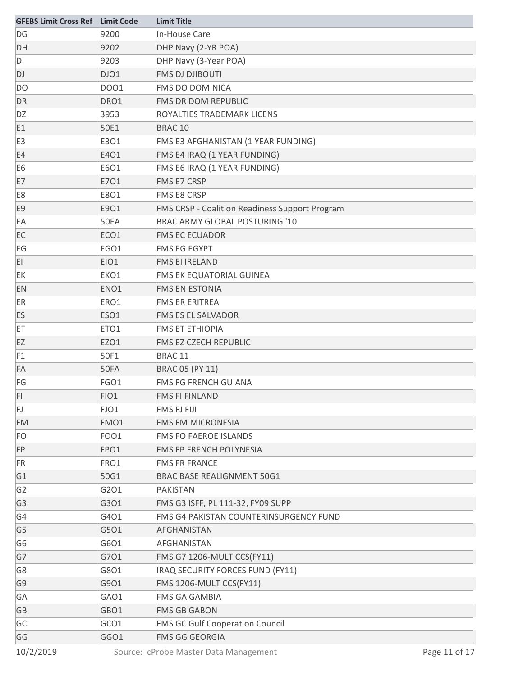| <b>GFEBS Limit Cross Ref</b> Limit Code |                  | <b>Limit Title</b>                                    |
|-----------------------------------------|------------------|-------------------------------------------------------|
| DG                                      | 9200             | In-House Care                                         |
| DH                                      | 9202             | DHP Navy (2-YR POA)                                   |
| DI                                      | 9203             | DHP Navy (3-Year POA)                                 |
| DJ                                      | DJO1             | <b>FMS DJ DJIBOUTI</b>                                |
| DO                                      | DO01             | <b>FMS DO DOMINICA</b>                                |
| <b>DR</b>                               | DRO1             | <b>FMS DR DOM REPUBLIC</b>                            |
| DZ                                      | 3953             | ROYALTIES TRADEMARK LICENS                            |
| E1                                      | 50E1             | BRAC <sub>10</sub>                                    |
| E3                                      | E3O1             | FMS E3 AFGHANISTAN (1 YEAR FUNDING)                   |
| E4                                      | E4O1             | FMS E4 IRAQ (1 YEAR FUNDING)                          |
| E <sub>6</sub>                          | E6O1             | FMS E6 IRAQ (1 YEAR FUNDING)                          |
| E7                                      | E701             | <b>FMS E7 CRSP</b>                                    |
| E8                                      | E8O1             | <b>FMS E8 CRSP</b>                                    |
| E <sub>9</sub>                          | E9O1             | <b>FMS CRSP - Coalition Readiness Support Program</b> |
| EA                                      | <b>50EA</b>      | <b>BRAC ARMY GLOBAL POSTURING '10</b>                 |
| EC                                      | ECO1             | <b>FMS EC ECUADOR</b>                                 |
| EG                                      | EGO1             | <b>FMS EG EGYPT</b>                                   |
| EI                                      | EIO1             | <b>FMS EI IRELAND</b>                                 |
| EK                                      | EKO1             | FMS EK EQUATORIAL GUINEA                              |
| EN                                      | ENO <sub>1</sub> | <b>FMS EN ESTONIA</b>                                 |
| ER                                      | ERO1             | <b>FMS ER ERITREA</b>                                 |
| ES                                      | ESO1             | <b>FMS ES EL SALVADOR</b>                             |
| ET                                      | ETO1             | <b>FMS ET ETHIOPIA</b>                                |
| EZ                                      | EZO1             | <b>FMS EZ CZECH REPUBLIC</b>                          |
| F1                                      | 50F1             | BRAC <sub>11</sub>                                    |
| FA                                      | 50FA             | BRAC 05 (PY 11)                                       |
| FG                                      | FGO1             | <b>FMS FG FRENCH GUIANA</b>                           |
| FI.                                     | FIO1             | <b>FMS FI FINLAND</b>                                 |
| FJ.                                     | FJO1             | <b>FMS FJ FIJI</b>                                    |
| <b>FM</b>                               | FMO1             | <b>FMS FM MICRONESIA</b>                              |
| <b>FO</b>                               | FOO1             | <b>FMS FO FAEROE ISLANDS</b>                          |
| FP                                      | FPO1             | <b>FMS FP FRENCH POLYNESIA</b>                        |
| <b>FR</b>                               | FRO1             | <b>FMS FR FRANCE</b>                                  |
| G <sub>1</sub>                          | 50G1             | <b>BRAC BASE REALIGNMENT 50G1</b>                     |
| G <sub>2</sub>                          | G201             | PAKISTAN                                              |
| G <sub>3</sub>                          | G301             | FMS G3 ISFF, PL 111-32, FY09 SUPP                     |
| G4                                      | G401             | FMS G4 PAKISTAN COUNTERINSURGENCY FUND                |
| G <sub>5</sub>                          | G501             | AFGHANISTAN                                           |
| G <sub>6</sub>                          | G6O1             | <b>AFGHANISTAN</b>                                    |
| G7                                      | G701             | FMS G7 1206-MULT CCS(FY11)                            |
| G8                                      | G801             | IRAQ SECURITY FORCES FUND (FY11)                      |
| G <sub>9</sub>                          | G901             | FMS 1206-MULT CCS(FY11)                               |
| GA                                      | GAO1             | <b>FMS GA GAMBIA</b>                                  |
| GB                                      | GBO1             | <b>FMS GB GABON</b>                                   |
| GC                                      | GCO1             | <b>FMS GC Gulf Cooperation Council</b>                |
| GG                                      | GGO1             | <b>FMS GG GEORGIA</b>                                 |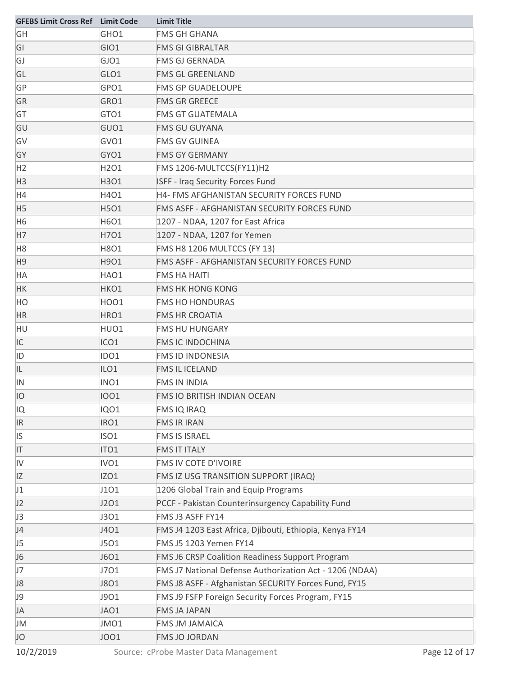| <b>GFEBS Limit Cross Ref</b> Limit Code |                  | <b>Limit Title</b>                                      |
|-----------------------------------------|------------------|---------------------------------------------------------|
| GH                                      | GHO1             | <b>FMS GH GHANA</b>                                     |
| GI                                      | GIO1             | <b>FMS GI GIBRALTAR</b>                                 |
| GJ                                      | GJO1             | <b>FMS GJ GERNADA</b>                                   |
| GL                                      | GLO1             | <b>FMS GL GREENLAND</b>                                 |
| GP                                      | GPO1             | <b>FMS GP GUADELOUPE</b>                                |
| GR                                      | GRO1             | <b>FMS GR GREECE</b>                                    |
| GT                                      | GTO1             | <b>FMS GT GUATEMALA</b>                                 |
| GU                                      | GUO1             | <b>FMS GU GUYANA</b>                                    |
| GV                                      | GVO1             | <b>FMS GV GUINEA</b>                                    |
| GY                                      | GYO1             | <b>FMS GY GERMANY</b>                                   |
| H2                                      | H2O1             | FMS 1206-MULTCCS(FY11)H2                                |
| H <sub>3</sub>                          | H3O1             | <b>ISFF - Iraq Security Forces Fund</b>                 |
| H4                                      | H4O1             | H4- FMS AFGHANISTAN SECURITY FORCES FUND                |
| H <sub>5</sub>                          | H5O1             | FMS ASFF - AFGHANISTAN SECURITY FORCES FUND             |
| H <sub>6</sub>                          | H6O1             | 1207 - NDAA, 1207 for East Africa                       |
| H7                                      | H701             | 1207 - NDAA, 1207 for Yemen                             |
| H <sub>8</sub>                          | H8O1             | FMS H8 1206 MULTCCS (FY 13)                             |
| H <sub>9</sub>                          | H9O1             | FMS ASFF - AFGHANISTAN SECURITY FORCES FUND             |
| HA                                      | HAO1             | <b>FMS HA HAITI</b>                                     |
| HK                                      | HKO1             | <b>FMS HK HONG KONG</b>                                 |
| HO                                      | <b>HOO1</b>      | <b>FMS HO HONDURAS</b>                                  |
| <b>HR</b>                               | HRO1             | <b>FMS HR CROATIA</b>                                   |
| HU                                      | HUO1             | <b>FMS HU HUNGARY</b>                                   |
| IC                                      | ICO1             | <b>FMS IC INDOCHINA</b>                                 |
| ID                                      | IDO <sub>1</sub> | <b>FMS ID INDONESIA</b>                                 |
| IL                                      | ILO <sub>1</sub> | <b>FMS IL ICELAND</b>                                   |
| IN                                      | INO1             | <b>FMS IN INDIA</b>                                     |
| IO                                      | 1001             | FMS IO BRITISH INDIAN OCEAN                             |
| IQ                                      | <b>IQO1</b>      | <b>FMS IQ IRAQ</b>                                      |
| <b>IR</b>                               | IRO1             | <b>FMS IR IRAN</b>                                      |
| IS                                      | ISO1             | <b>FMS IS ISRAEL</b>                                    |
| IT                                      | ITO <sub>1</sub> | <b>FMS IT ITALY</b>                                     |
| IV                                      | IVO1             | FMS IV COTE D'IVOIRE                                    |
| IZ                                      | IZO1             | FMS IZ USG TRANSITION SUPPORT (IRAQ)                    |
| J1                                      | J101             | 1206 Global Train and Equip Programs                    |
| J2                                      | J201             | PCCF - Pakistan Counterinsurgency Capability Fund       |
| J3                                      | J301             | FMS J3 ASFF FY14                                        |
| J4                                      | J401             | FMS J4 1203 East Africa, Djibouti, Ethiopia, Kenya FY14 |
| J5                                      | J501             | FMS J5 1203 Yemen FY14                                  |
| J <sub>6</sub>                          | J6O1             | FMS J6 CRSP Coalition Readiness Support Program         |
| J7                                      | J701             | FMS J7 National Defense Authorization Act - 1206 (NDAA) |
| J8                                      | J801             | FMS J8 ASFF - Afghanistan SECURITY Forces Fund, FY15    |
| J9                                      | J901             | FMS J9 FSFP Foreign Security Forces Program, FY15       |
| JA                                      | JAO1             | <b>FMS JA JAPAN</b>                                     |
| JM                                      | JMO1             | <b>FMS JM JAMAICA</b>                                   |
| JO                                      | <b>JOO1</b>      | <b>FMS JO JORDAN</b>                                    |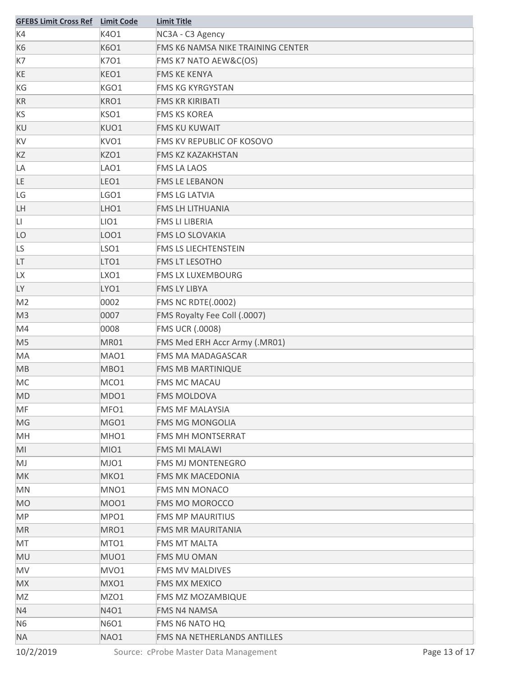| <b>GFEBS Limit Cross Ref</b> Limit Code |                  | <b>Limit Title</b>                 |
|-----------------------------------------|------------------|------------------------------------|
| K4                                      | K4O1             | NC3A - C3 Agency                   |
| K <sub>6</sub>                          | K6O1             | FMS K6 NAMSA NIKE TRAINING CENTER  |
| K7                                      | K701             | FMS K7 NATO AEW&C(OS)              |
| KE                                      | KEO1             | <b>FMS KE KENYA</b>                |
| KG                                      | KGO1             | <b>FMS KG KYRGYSTAN</b>            |
| KR                                      | KRO1             | <b>FMS KR KIRIBATI</b>             |
| KS                                      | KSO1             | <b>FMS KS KOREA</b>                |
| KU                                      | KUO1             | <b>FMS KU KUWAIT</b>               |
| KV                                      | KVO1             | FMS KV REPUBLIC OF KOSOVO          |
| KZ                                      | KZO1             | <b>FMS KZ KAZAKHSTAN</b>           |
| LA                                      | LAO1             | <b>FMS LA LAOS</b>                 |
| LE                                      | LEO1             | <b>FMS LE LEBANON</b>              |
| LG                                      | LGO1             | <b>FMS LG LATVIA</b>               |
| LH                                      | LHO1             | <b>FMS LH LITHUANIA</b>            |
| LI                                      | LIO <sub>1</sub> | <b>FMS LI LIBERIA</b>              |
| LO                                      | LOO1             | <b>FMS LO SLOVAKIA</b>             |
| LS                                      | LSO1             | <b>FMS LS LIECHTENSTEIN</b>        |
| LT                                      | LTO <sub>1</sub> | <b>FMS LT LESOTHO</b>              |
| LХ                                      | LXO1             | <b>FMS LX LUXEMBOURG</b>           |
| LY                                      | LYO1             | <b>FMS LY LIBYA</b>                |
| M <sub>2</sub>                          | 0002             | <b>FMS NC RDTE(.0002)</b>          |
| M <sub>3</sub>                          | 0007             | FMS Royalty Fee Coll (.0007)       |
| M4                                      | 0008             | <b>FMS UCR (.0008)</b>             |
| M <sub>5</sub>                          | <b>MR01</b>      | FMS Med ERH Accr Army (.MR01)      |
| MA                                      | MAO1             | <b>FMS MA MADAGASCAR</b>           |
| MB                                      | MBO1             | <b>FMS MB MARTINIQUE</b>           |
| MC                                      | MCO1             | <b>FMS MC MACAU</b>                |
| MD                                      | MDO1             | <b>FMS MOLDOVA</b>                 |
| MF                                      | MFO1             | <b>FMS MF MALAYSIA</b>             |
| MG                                      | MGO1             | <b>FMS MG MONGOLIA</b>             |
| MH                                      | MHO <sub>1</sub> | <b>FMS MH MONTSERRAT</b>           |
| MI                                      | MIO1             | <b>FMS MI MALAWI</b>               |
| MJ                                      | MJO1             | <b>FMS MJ MONTENEGRO</b>           |
| <b>MK</b>                               | MKO1             | <b>FMS MK MACEDONIA</b>            |
| MN                                      | MNO1             | <b>FMS MN MONACO</b>               |
| <b>MO</b>                               | <b>MOO1</b>      | <b>FMS MO MOROCCO</b>              |
| <b>MP</b>                               | MPO1             | <b>FMS MP MAURITIUS</b>            |
| <b>MR</b>                               | MRO1             | <b>FMS MR MAURITANIA</b>           |
| MT                                      | MTO1             | <b>FMS MT MALTA</b>                |
| MU                                      | MUO1             | <b>FMS MU OMAN</b>                 |
| MV                                      | MVO1             | <b>FMS MV MALDIVES</b>             |
| <b>MX</b>                               | MXO1             | <b>FMS MX MEXICO</b>               |
| MZ                                      | MZO1             | FMS MZ MOZAMBIQUE                  |
| N4                                      | N4O1             | <b>FMS N4 NAMSA</b>                |
| N <sub>6</sub>                          | N6O1             | FMS N6 NATO HQ                     |
| NA.                                     | NAO1             | <b>FMS NA NETHERLANDS ANTILLES</b> |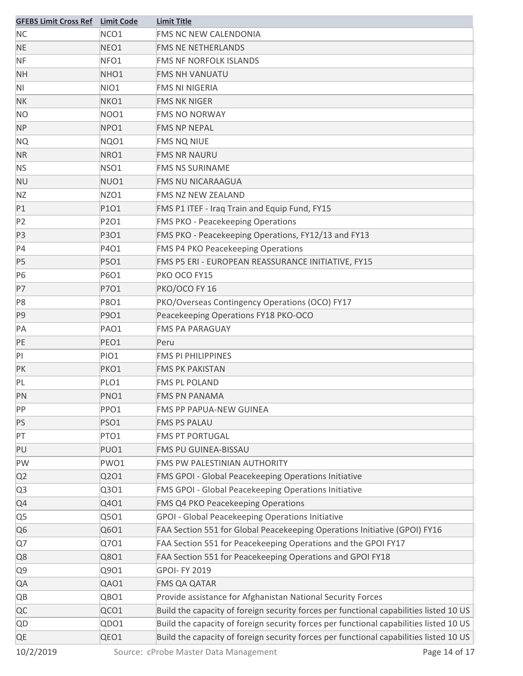| <b>GFEBS Limit Cross Ref</b> Limit Code |                  | <b>Limit Title</b>                                                                     |
|-----------------------------------------|------------------|----------------------------------------------------------------------------------------|
| <b>NC</b>                               | NCO1             | FMS NC NEW CALENDONIA                                                                  |
| <b>NE</b>                               | NEO1             | <b>FMS NE NETHERLANDS</b>                                                              |
| <b>NF</b>                               | NFO1             | <b>FMS NF NORFOLK ISLANDS</b>                                                          |
| <b>NH</b>                               | NHO <sub>1</sub> | <b>FMS NH VANUATU</b>                                                                  |
| N <sub>1</sub>                          | NIO1             | <b>FMS NI NIGERIA</b>                                                                  |
| <b>NK</b>                               | NKO1             | <b>FMS NK NIGER</b>                                                                    |
| NO.                                     | NO01             | <b>FMS NO NORWAY</b>                                                                   |
| <b>NP</b>                               | NPO1             | <b>FMS NP NEPAL</b>                                                                    |
| <b>NQ</b>                               | NQO1             | <b>FMS NQ NIUE</b>                                                                     |
| <b>NR</b>                               | NRO1             | <b>FMS NR NAURU</b>                                                                    |
| <b>NS</b>                               | NSO1             | <b>FMS NS SURINAME</b>                                                                 |
| <b>NU</b>                               | NUO1             | <b>FMS NU NICARAAGUA</b>                                                               |
| ΝZ                                      | NZO1             | FMS NZ NEW ZEALAND                                                                     |
| P1                                      | P101             | FMS P1 ITEF - Iraq Train and Equip Fund, FY15                                          |
| P <sub>2</sub>                          | P2O1             | <b>FMS PKO - Peacekeeping Operations</b>                                               |
| P <sub>3</sub>                          | P3O1             | FMS PKO - Peacekeeping Operations, FY12/13 and FY13                                    |
| P4                                      | P401             | FMS P4 PKO Peacekeeping Operations                                                     |
| P5                                      | P5O1             | FMS P5 ERI - EUROPEAN REASSURANCE INITIATIVE, FY15                                     |
| P6                                      | P6O1             | PKO OCO FY15                                                                           |
| P7                                      | P701             | PKO/OCO FY 16                                                                          |
| P8                                      | P8O1             | PKO/Overseas Contingency Operations (OCO) FY17                                         |
| P9                                      | P901             | Peacekeeping Operations FY18 PKO-OCO                                                   |
| PA                                      | PAO1             | <b>FMS PA PARAGUAY</b>                                                                 |
| PE                                      | PEO1             | Peru                                                                                   |
| PI                                      | PIO1             | <b>FMS PI PHILIPPINES</b>                                                              |
| PК                                      | PKO1             | <b>FMS PK PAKISTAN</b>                                                                 |
| PL                                      | PLO1             | <b>FMS PL POLAND</b>                                                                   |
| PN                                      | PNO1             | <b>FMS PN PANAMA</b>                                                                   |
| PP                                      | PPO1             | FMS PP PAPUA-NEW GUINEA                                                                |
| PS                                      | <b>PSO1</b>      | <b>FMS PS PALAU</b>                                                                    |
| PT                                      | PTO1             | <b>FMS PT PORTUGAL</b>                                                                 |
| PU                                      | PUO1             | FMS PU GUINEA-BISSAU                                                                   |
| PW                                      | PWO1             | FMS PW PALESTINIAN AUTHORITY                                                           |
| Q2                                      | Q201             | FMS GPOI - Global Peacekeeping Operations Initiative                                   |
| Q <sub>3</sub>                          | Q301             | FMS GPOI - Global Peacekeeping Operations Initiative                                   |
| Q4                                      | Q401             | FMS Q4 PKO Peacekeeping Operations                                                     |
| Q5                                      | Q501             | <b>GPOI - Global Peacekeeping Operations Initiative</b>                                |
| Q6                                      | Q601             | FAA Section 551 for Global Peacekeeping Operations Initiative (GPOI) FY16              |
| Q7                                      | Q701             | FAA Section 551 for Peacekeeping Operations and the GPOI FY17                          |
| Q8                                      | Q801             | FAA Section 551 for Peacekeeping Operations and GPOI FY18                              |
| Q9                                      | Q901             | <b>GPOI-FY 2019</b>                                                                    |
| QA                                      | QAO1             | <b>FMS QA QATAR</b>                                                                    |
| QB                                      | QBO1             | Provide assistance for Afghanistan National Security Forces                            |
| QC                                      | QCO1             | Build the capacity of foreign security forces per functional capabilities listed 10 US |
| QD                                      | QDO1             | Build the capacity of foreign security forces per functional capabilities listed 10 US |
| QE                                      | QEO1             | Build the capacity of foreign security forces per functional capabilities listed 10 US |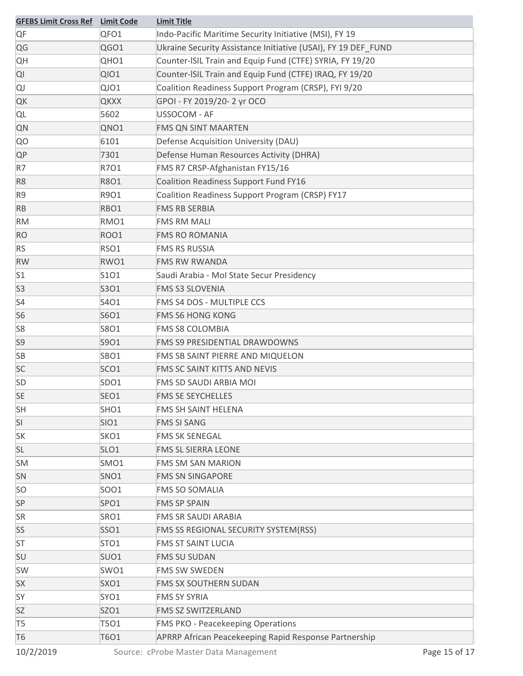| <b>GFEBS Limit Cross Ref</b> | <b>Limit Code</b> | <b>Limit Title</b>                                            |
|------------------------------|-------------------|---------------------------------------------------------------|
| QF                           | QFO1              | Indo-Pacific Maritime Security Initiative (MSI), FY 19        |
| QG                           | QGO1              | Ukraine Security Assistance Initiative (USAI), FY 19 DEF FUND |
| QH                           | QHO1              | Counter-ISIL Train and Equip Fund (CTFE) SYRIA, FY 19/20      |
| QI                           | <b>QIO1</b>       | Counter-ISIL Train and Equip Fund (CTFE) IRAQ, FY 19/20       |
| QJ                           | QJO1              | Coalition Readiness Support Program (CRSP), FYI 9/20          |
| QK                           | <b>QKXX</b>       | GPOI - FY 2019/20-2 yr OCO                                    |
| QL                           | 5602              | USSOCOM - AF                                                  |
| QN                           | QNO1              | <b>FMS QN SINT MAARTEN</b>                                    |
| QO                           | 6101              | Defense Acquisition University (DAU)                          |
| <b>QP</b>                    | 7301              | Defense Human Resources Activity (DHRA)                       |
| R7                           | R701              | FMS R7 CRSP-Afghanistan FY15/16                               |
| R <sub>8</sub>               | <b>R8O1</b>       | Coalition Readiness Support Fund FY16                         |
| R <sub>9</sub>               | R901              | Coalition Readiness Support Program (CRSP) FY17               |
| <b>RB</b>                    | RBO1              | <b>FMS RB SERBIA</b>                                          |
| RM                           | RMO1              | <b>FMS RM MALI</b>                                            |
| <b>RO</b>                    | <b>ROO1</b>       | <b>FMS RO ROMANIA</b>                                         |
| <b>RS</b>                    | RSO1              | <b>FMS RS RUSSIA</b>                                          |
| <b>RW</b>                    | RWO1              | <b>FMS RW RWANDA</b>                                          |
| S1                           | S1O1              | Saudi Arabia - Mol State Secur Presidency                     |
| S <sub>3</sub>               | S3O1              | <b>FMS S3 SLOVENIA</b>                                        |
| S4                           | S4O1              | FMS S4 DOS - MULTIPLE CCS                                     |
| S <sub>6</sub>               | S6O1              | <b>FMS S6 HONG KONG</b>                                       |
| S8                           | S8O1              | <b>FMS S8 COLOMBIA</b>                                        |
| S9                           | S901              | FMS S9 PRESIDENTIAL DRAWDOWNS                                 |
| <b>SB</b>                    | SBO1              | FMS SB SAINT PIERRE AND MIQUELON                              |
| <b>SC</b>                    | SCO1              | FMS SC SAINT KITTS AND NEVIS                                  |
| <b>SD</b>                    | SDO1              | FMS SD SAUDI ARBIA MOI                                        |
| <b>SE</b>                    | SEO1              | <b>FMS SE SEYCHELLES</b>                                      |
| <b>SH</b>                    | SHO1              | <b>FMS SH SAINT HELENA</b>                                    |
| SI                           | <b>SIO1</b>       | <b>FMS SI SANG</b>                                            |
| <b>SK</b>                    | SKO1              | <b>FMS SK SENEGAL</b>                                         |
| <b>SL</b>                    | SLO1              | FMS SL SIERRA LEONE                                           |
| <b>SM</b>                    | SMO1              | <b>FMS SM SAN MARION</b>                                      |
| SN                           | SNO1              | <b>FMS SN SINGAPORE</b>                                       |
| <b>SO</b>                    | SO01              | <b>FMS SO SOMALIA</b>                                         |
| SP                           | SPO1              | <b>FMS SP SPAIN</b>                                           |
| <b>SR</b>                    | SRO1              | FMS SR SAUDI ARABIA                                           |
| SS                           | SSO1              | FMS SS REGIONAL SECURITY SYSTEM(RSS)                          |
| ST                           | STO <sub>1</sub>  | <b>FMS ST SAINT LUCIA</b>                                     |
| SU                           | SUO1              | <b>FMS SU SUDAN</b>                                           |
| SW                           | SWO1              | <b>FMS SW SWEDEN</b>                                          |
| <b>SX</b>                    | SXO1              | FMS SX SOUTHERN SUDAN                                         |
| SY                           | SYO1              | <b>FMS SY SYRIA</b>                                           |
| <b>SZ</b>                    | SZO1              | FMS SZ SWITZERLAND                                            |
| T <sub>5</sub>               | T501              | <b>FMS PKO - Peacekeeping Operations</b>                      |
| <b>T6</b>                    | T6O1              | APRRP African Peacekeeping Rapid Response Partnership         |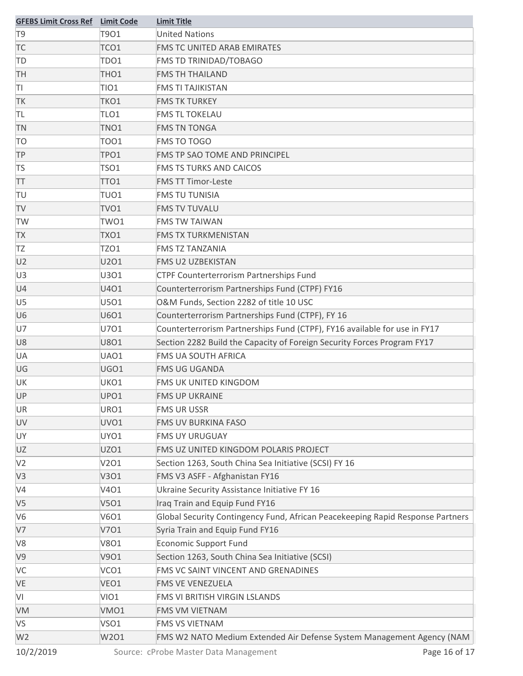| T901<br>T <sub>9</sub><br><b>United Nations</b><br><b>FMS TC UNITED ARAB EMIRATES</b><br>TC<br>TCO1      |  |
|----------------------------------------------------------------------------------------------------------|--|
|                                                                                                          |  |
|                                                                                                          |  |
| TDO1<br>FMS TD TRINIDAD/TOBAGO<br>TD                                                                     |  |
| <b>TH</b><br>THO <sub>1</sub><br><b>FMS TH THAILAND</b>                                                  |  |
| TI<br><b>TIO1</b><br><b>FMS TI TAJIKISTAN</b>                                                            |  |
| <b>TK</b><br>TKO1<br><b>FMS TK TURKEY</b>                                                                |  |
| TL<br>TLO1<br><b>FMS TL TOKELAU</b>                                                                      |  |
| TNO1<br><b>TN</b><br><b>FMS TN TONGA</b>                                                                 |  |
| <b>TO</b><br><b>FMS TO TOGO</b><br><b>TOO1</b>                                                           |  |
| <b>TP</b><br>TPO1<br>FMS TP SAO TOME AND PRINCIPEL                                                       |  |
| <b>TS</b><br><b>TSO1</b><br><b>FMS TS TURKS AND CAICOS</b>                                               |  |
| <b>FMS TT Timor-Leste</b><br>TT<br>TTO1                                                                  |  |
| TU<br>TUO1<br><b>FMS TU TUNISIA</b>                                                                      |  |
| <b>TV</b><br>TVO <sub>1</sub><br><b>FMS TV TUVALU</b>                                                    |  |
| <b>TW</b><br>TWO1<br><b>FMS TW TAIWAN</b>                                                                |  |
| TXO1<br><b>FMS TX TURKMENISTAN</b><br><b>TX</b>                                                          |  |
| <b>FMS TZ TANZANIA</b><br>TZ<br>TZO1                                                                     |  |
| U2<br>U201<br><b>FMS U2 UZBEKISTAN</b>                                                                   |  |
| U <sub>3</sub><br>U3O1<br>CTPF Counterterrorism Partnerships Fund                                        |  |
| Counterterrorism Partnerships Fund (CTPF) FY16<br>U4<br>U401                                             |  |
| O&M Funds, Section 2282 of title 10 USC<br>U <sub>5</sub><br>U501                                        |  |
| Counterterrorism Partnerships Fund (CTPF), FY 16<br>U <sub>6</sub><br>U6O1                               |  |
| Counterterrorism Partnerships Fund (CTPF), FY16 available for use in FY17<br>U7<br>U701                  |  |
| Section 2282 Build the Capacity of Foreign Security Forces Program FY17<br><b>U8O1</b><br>U8             |  |
| <b>FMS UA SOUTH AFRICA</b><br>UA<br>UAO1                                                                 |  |
| UG<br>UGO1<br><b>FMS UG UGANDA</b>                                                                       |  |
| UK<br>UKO1<br>FMS UK UNITED KINGDOM                                                                      |  |
| UPO1<br><b>UP</b><br><b>FMS UP UKRAINE</b>                                                               |  |
| URO1<br><b>UR</b><br><b>FMS UR USSR</b>                                                                  |  |
| UV<br>UVO1<br>FMS UV BURKINA FASO                                                                        |  |
| UY<br>UYO1<br><b>FMS UY URUGUAY</b>                                                                      |  |
| UZO1<br>UZ<br>FMS UZ UNITED KINGDOM POLARIS PROJECT                                                      |  |
| V <sub>2</sub><br>V201<br>Section 1263, South China Sea Initiative (SCSI) FY 16                          |  |
| FMS V3 ASFF - Afghanistan FY16<br>V3<br>V301                                                             |  |
| V <sub>4</sub><br>Ukraine Security Assistance Initiative FY 16<br>V401                                   |  |
| Iraq Train and Equip Fund FY16<br>V <sub>5</sub><br>V501                                                 |  |
| V <sub>6</sub><br>V6O1<br>Global Security Contingency Fund, African Peacekeeping Rapid Response Partners |  |
| Syria Train and Equip Fund FY16<br>V7<br>V701                                                            |  |
| <b>Economic Support Fund</b><br>V <sub>8</sub><br><b>V8O1</b>                                            |  |
| Section 1263, South China Sea Initiative (SCSI)<br>V9<br>V901                                            |  |
| FMS VC SAINT VINCENT AND GRENADINES<br>VC<br>VCO1                                                        |  |
| VE<br>VEO1<br>FMS VE VENEZUELA                                                                           |  |
| VI<br>VIO1<br>FMS VI BRITISH VIRGIN LSLANDS                                                              |  |
| VMO1<br>FMS VM VIETNAM<br>VM                                                                             |  |
| <b>VS</b><br>VSO1<br>FMS VS VIETNAM                                                                      |  |
| FMS W2 NATO Medium Extended Air Defense System Management Agency (NAM<br>W <sub>2</sub><br>W2O1          |  |